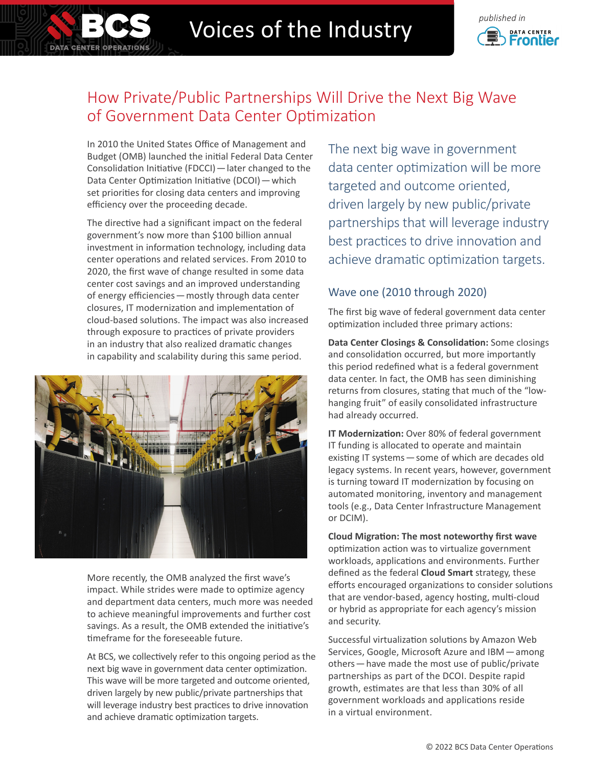# Voices of the Industry **Construction**



## How Private/Public Partnerships Will Drive the Next Big Wave of Government Data Center Optimization

In 2010 the United States Office of Management and Budget (OMB) launched the initial Federal Data Center Consolidation Initiative (FDCCI)—later changed to the Data Center Optimization Initiative (DCOI)—which set priorities for closing data centers and improving efficiency over the proceeding decade.

**DATA CENTER OPERATIONS** 

The directive had a significant impact on the federal government's now more than \$100 billion annual investment in information technology, including data center operations and related services. From 2010 to 2020, the first wave of change resulted in some data center cost savings and an improved understanding of energy efficiencies—mostly through data center closures, IT modernization and implementation of cloud-based solutions. The impact was also increased through exposure to practices of private providers in an industry that also realized dramatic changes in capability and scalability during this same period.



More recently, the OMB analyzed the first wave's impact. While strides were made to optimize agency and department data centers, much more was needed to achieve meaningful improvements and further cost savings. As a result, the OMB extended the initiative's timeframe for the foreseeable future.

At BCS, we collectively refer to this ongoing period as the next big wave in government data center optimization. This wave will be more targeted and outcome oriented, driven largely by new public/private partnerships that will leverage industry best practices to drive innovation and achieve dramatic optimization targets.

The next big wave in government data center optimization will be more targeted and outcome oriented, driven largely by new public/private partnerships that will leverage industry best practices to drive innovation and achieve dramatic optimization targets.

### Wave one (2010 through 2020)

The first big wave of federal government data center optimization included three primary actions:

**Data Center Closings & Consolidation:** Some closings and consolidation occurred, but more importantly this period redefined what is a federal government data center. In fact, the OMB has seen diminishing returns from closures, stating that much of the "lowhanging fruit" of easily consolidated infrastructure had already occurred.

**IT Modernization:** Over 80% of federal government IT funding is allocated to operate and maintain existing IT systems—some of which are decades old legacy systems. In recent years, however, government is turning toward IT modernization by focusing on automated monitoring, inventory and management tools (e.g., Data Center Infrastructure Management or DCIM).

**Cloud Migration: The most noteworthy first wave**  optimization action was to virtualize government workloads, applications and environments. Further defined as the federal **Cloud Smart** strategy, these efforts encouraged organizations to consider solutions that are vendor-based, agency hosting, multi-cloud or hybrid as appropriate for each agency's mission and security.

Successful virtualization solutions by Amazon Web Services, Google, Microsoft Azure and IBM—among others—have made the most use of public/private partnerships as part of the DCOI. Despite rapid growth, estimates are that less than 30% of all government workloads and applications reside in a virtual environment.